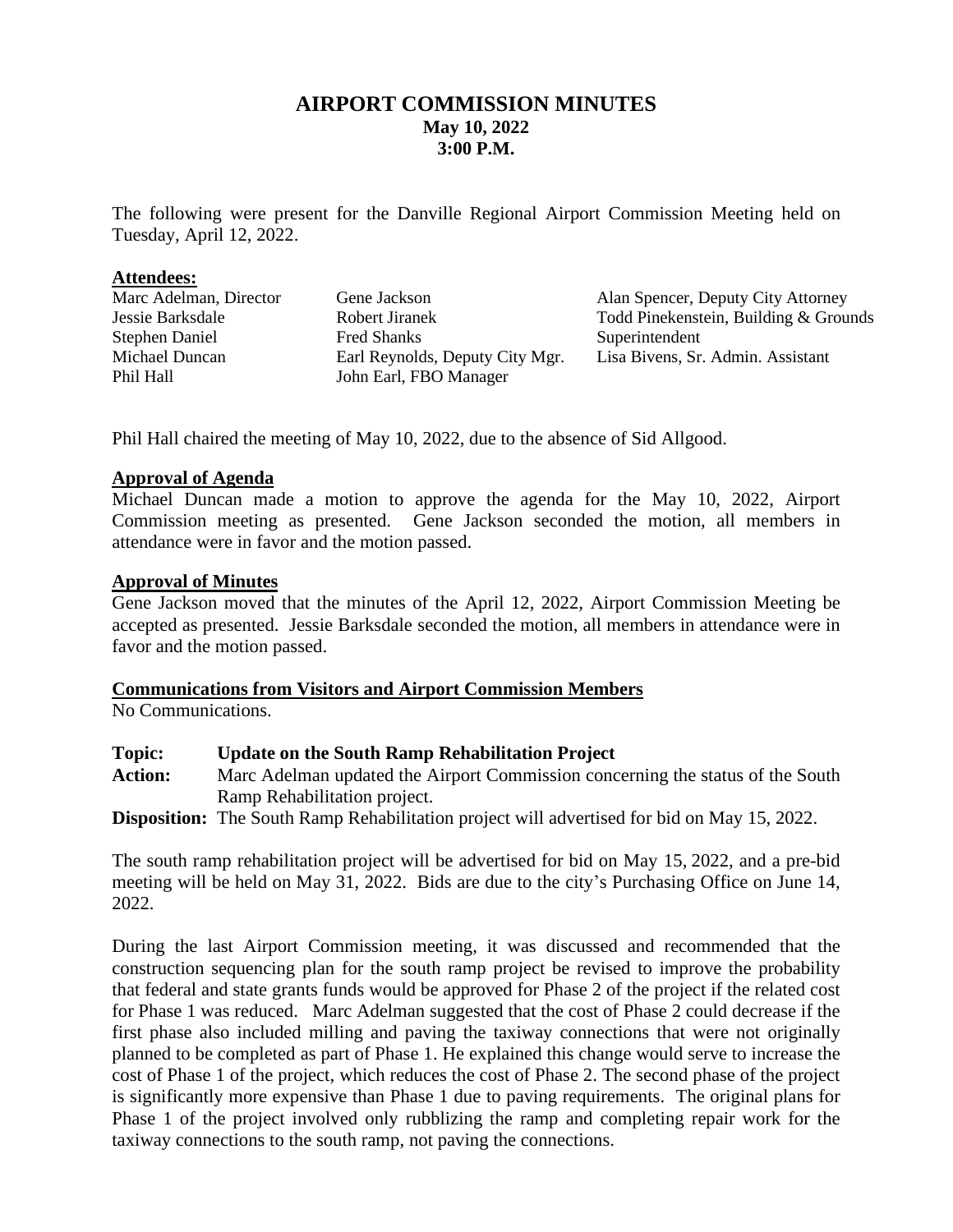## **AIRPORT COMMISSION MINUTES May 10, 2022 3:00 P.M.**

The following were present for the Danville Regional Airport Commission Meeting held on Tuesday, April 12, 2022.

#### **Attendees:**

| Marc Adelman, Director | Gene Jackson                    | Alan Spencer, Deputy City Attorney    |
|------------------------|---------------------------------|---------------------------------------|
| Jessie Barksdale       | Robert Jiranek                  | Todd Pinekenstein, Building & Grounds |
| <b>Stephen Daniel</b>  | <b>Fred Shanks</b>              | Superintendent                        |
| Michael Duncan         | Earl Reynolds, Deputy City Mgr. | Lisa Bivens, Sr. Admin. Assistant     |
| Phil Hall              | John Earl, FBO Manager          |                                       |

Phil Hall chaired the meeting of May 10, 2022, due to the absence of Sid Allgood.

#### **Approval of Agenda**

Michael Duncan made a motion to approve the agenda for the May 10, 2022, Airport Commission meeting as presented. Gene Jackson seconded the motion, all members in attendance were in favor and the motion passed.

## **Approval of Minutes**

Gene Jackson moved that the minutes of the April 12, 2022, Airport Commission Meeting be accepted as presented. Jessie Barksdale seconded the motion, all members in attendance were in favor and the motion passed.

#### **Communications from Visitors and Airport Commission Members**

No Communications.

| Topic: | <b>Update on the South Ramp Rehabilitation Project</b> |  |
|--------|--------------------------------------------------------|--|
|--------|--------------------------------------------------------|--|

**Action:** Marc Adelman updated the Airport Commission concerning the status of the South Ramp Rehabilitation project.

**Disposition:** The South Ramp Rehabilitation project will advertised for bid on May 15, 2022.

The south ramp rehabilitation project will be advertised for bid on May 15, 2022, and a pre-bid meeting will be held on May 31, 2022. Bids are due to the city's Purchasing Office on June 14, 2022.

During the last Airport Commission meeting, it was discussed and recommended that the construction sequencing plan for the south ramp project be revised to improve the probability that federal and state grants funds would be approved for Phase 2 of the project if the related cost for Phase 1 was reduced. Marc Adelman suggested that the cost of Phase 2 could decrease if the first phase also included milling and paving the taxiway connections that were not originally planned to be completed as part of Phase 1. He explained this change would serve to increase the cost of Phase 1 of the project, which reduces the cost of Phase 2. The second phase of the project is significantly more expensive than Phase 1 due to paving requirements. The original plans for Phase 1 of the project involved only rubblizing the ramp and completing repair work for the taxiway connections to the south ramp, not paving the connections.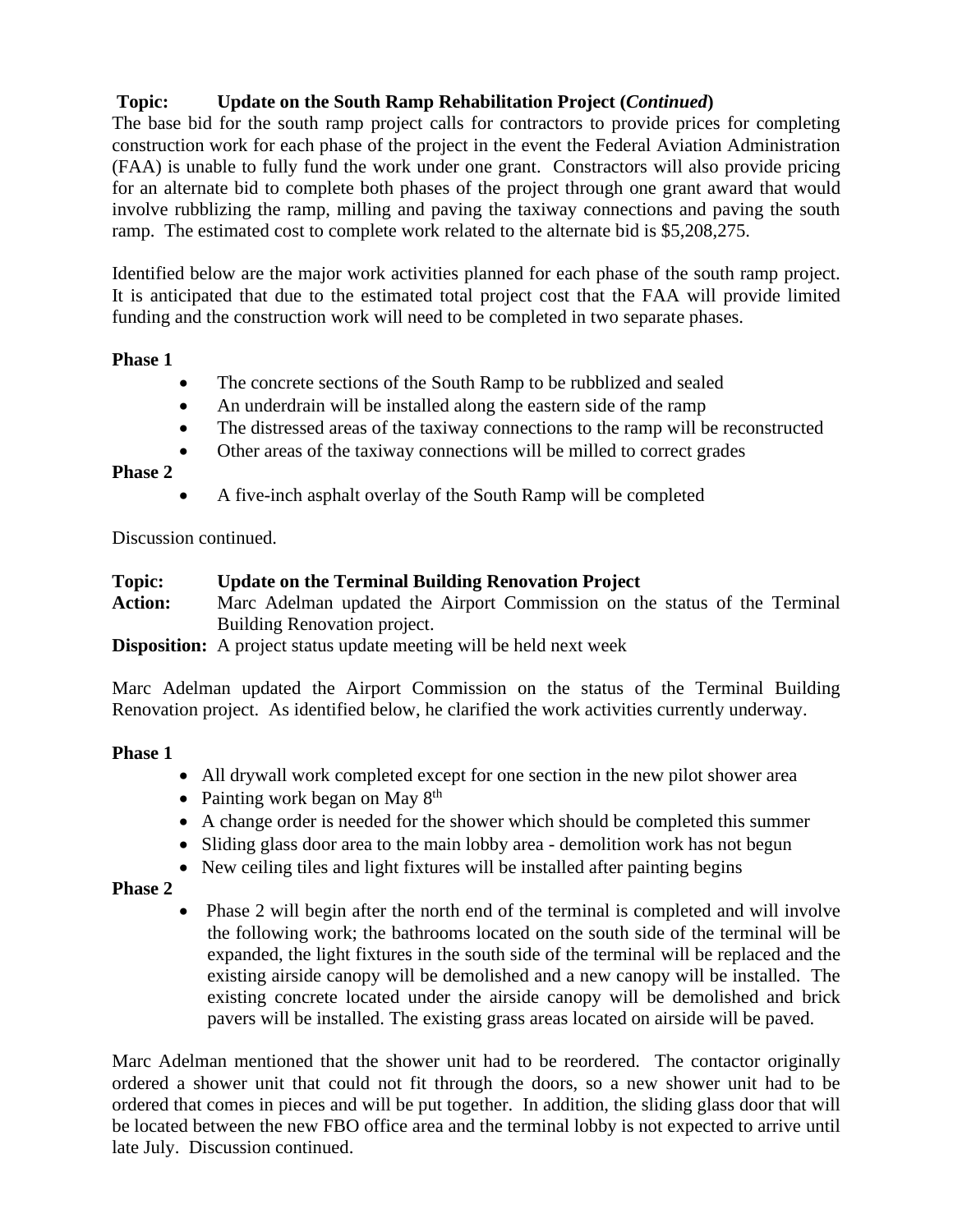# **Topic: Update on the South Ramp Rehabilitation Project (***Continued***)**

The base bid for the south ramp project calls for contractors to provide prices for completing construction work for each phase of the project in the event the Federal Aviation Administration (FAA) is unable to fully fund the work under one grant. Constractors will also provide pricing for an alternate bid to complete both phases of the project through one grant award that would involve rubblizing the ramp, milling and paving the taxiway connections and paving the south ramp. The estimated cost to complete work related to the alternate bid is \$5,208,275.

Identified below are the major work activities planned for each phase of the south ramp project. It is anticipated that due to the estimated total project cost that the FAA will provide limited funding and the construction work will need to be completed in two separate phases.

## **Phase 1**

- The concrete sections of the South Ramp to be rubblized and sealed
- An underdrain will be installed along the eastern side of the ramp
- The distressed areas of the taxiway connections to the ramp will be reconstructed
- Other areas of the taxiway connections will be milled to correct grades

## **Phase 2**

• A five-inch asphalt overlay of the South Ramp will be completed

Discussion continued.

## **Topic: Update on the Terminal Building Renovation Project**

**Action:** Marc Adelman updated the Airport Commission on the status of the Terminal Building Renovation project.

**Disposition:** A project status update meeting will be held next week

Marc Adelman updated the Airport Commission on the status of the Terminal Building Renovation project. As identified below, he clarified the work activities currently underway.

#### **Phase 1**

- All drywall work completed except for one section in the new pilot shower area
- Painting work began on May  $8<sup>th</sup>$
- A change order is needed for the shower which should be completed this summer
- Sliding glass door area to the main lobby area demolition work has not begun
- New ceiling tiles and light fixtures will be installed after painting begins

## **Phase 2**

• Phase 2 will begin after the north end of the terminal is completed and will involve the following work; the bathrooms located on the south side of the terminal will be expanded, the light fixtures in the south side of the terminal will be replaced and the existing airside canopy will be demolished and a new canopy will be installed. The existing concrete located under the airside canopy will be demolished and brick pavers will be installed. The existing grass areas located on airside will be paved.

Marc Adelman mentioned that the shower unit had to be reordered. The contactor originally ordered a shower unit that could not fit through the doors, so a new shower unit had to be ordered that comes in pieces and will be put together. In addition, the sliding glass door that will be located between the new FBO office area and the terminal lobby is not expected to arrive until late July. Discussion continued.